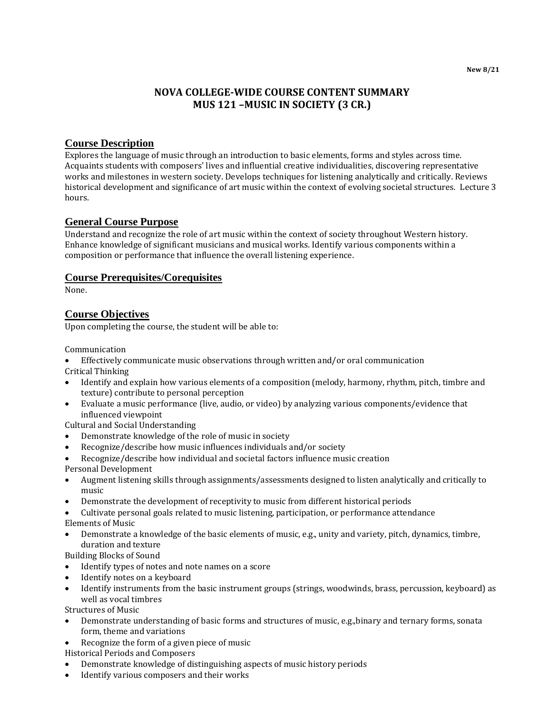**New 8/21**

# **NOVA COLLEGE-WIDE COURSE CONTENT SUMMARY MUS 121 –MUSIC IN SOCIETY (3 CR.)**

## **Course Description**

Explores the language of music through an introduction to basic elements, forms and styles across time. Acquaints students with composers' lives and influential creative individualities, discovering representative works and milestones in western society. Develops techniques for listening analytically and critically. Reviews historical development and significance of art music within the context of evolving societal structures. Lecture 3 hours.

# **General Course Purpose**

Understand and recognize the role of art music within the context of society throughout Western history. Enhance knowledge of significant musicians and musical works. Identify various components within a composition or performance that influence the overall listening experience.

#### **Course Prerequisites/Corequisites**

None.

## **Course Objectives**

Upon completing the course, the student will be able to:

Communication

- Effectively communicate music observations through written and/or oral communication
- Critical Thinking
- Identify and explain how various elements of a composition (melody, harmony, rhythm, pitch, timbre and texture) contribute to personal perception
- Evaluate a music performance (live, audio, or video) by analyzing various components/evidence that influenced viewpoint

Cultural and Social Understanding

- Demonstrate knowledge of the role of music in society
- Recognize/describe how music influences individuals and/or society
- Recognize/describe how individual and societal factors influence music creation
- Personal Development
- Augment listening skills through assignments/assessments designed to listen analytically and critically to music
- Demonstrate the development of receptivity to music from different historical periods
- Cultivate personal goals related to music listening, participation, or performance attendance Elements of Music
- Demonstrate a knowledge of the basic elements of music, e.g., unity and variety, pitch, dynamics, timbre, duration and texture

Building Blocks of Sound

- Identify types of notes and note names on a score
- Identify notes on a keyboard
- Identify instruments from the basic instrument groups (strings, woodwinds, brass, percussion, keyboard) as well as vocal timbres

Structures of Music

- Demonstrate understanding of basic forms and structures of music, e.g.,binary and ternary forms, sonata form, theme and variations
- Recognize the form of a given piece of music
- Historical Periods and Composers
- Demonstrate knowledge of distinguishing aspects of music history periods
- Identify various composers and their works